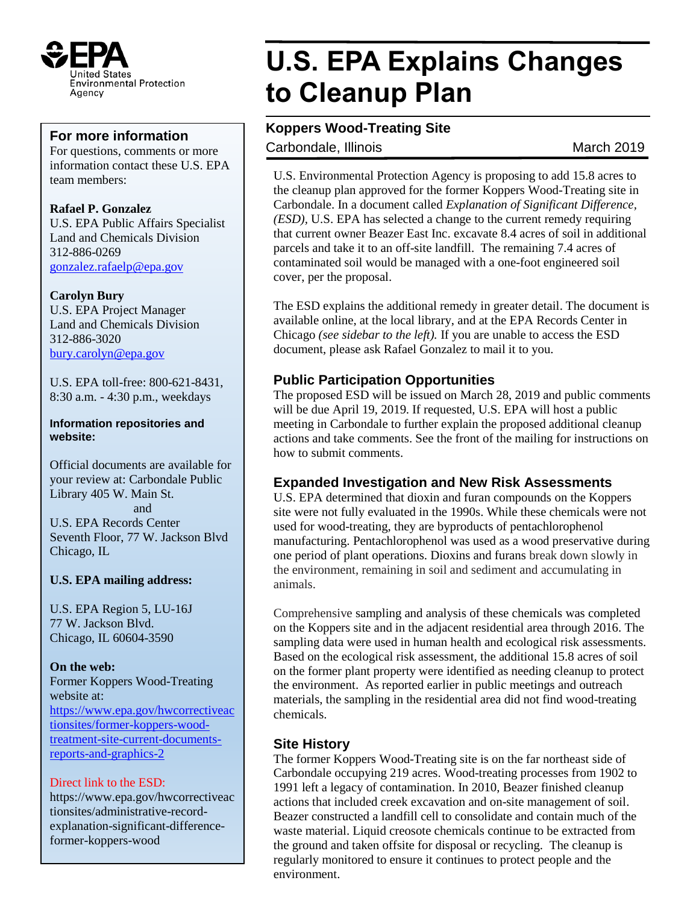

For questions, comments or more information contact these U.S. EPA team members:

**Rafael P. Gonzalez** U.S. EPA Public Affairs Specialist Land and Chemicals Division 312-886-0269 [gonzalez.rafaelp@epa.gov](mailto:gonzalez.rafaelp@epa.gov)

### **Carolyn Bury**

U.S. EPA Project Manager Land and Chemicals Division 312-886-3020 [bury.carolyn@epa.gov](mailto:bury.carolyn@epa.gov)

U.S. EPA toll-free: 800-621-8431, 8:30 a.m. - 4:30 p.m., weekdays

#### **Information repositories and website:**

Official documents are available for your review at: Carbondale Public Library 405 W. Main St. and U.S. EPA Records Center Seventh Floor, 77 W. Jackson Blvd Chicago, IL

### **U.S. EPA mailing address:**

U.S. EPA Region 5, LU-16J 77 W. Jackson Blvd. Chicago, IL 60604-3590

**On the web:** Former Koppers Wood-Treating website at: [https://www.epa.gov/hwcorrectiveac](https://www.epa.gov/hwcorrectiveactionsites/former-koppers-wood-treatment-site-current-documents-reports-and-graphics-2) [tionsites/former-koppers-wood](https://www.epa.gov/hwcorrectiveactionsites/former-koppers-wood-treatment-site-current-documents-reports-and-graphics-2)[treatment-site-current-documents](https://www.epa.gov/hwcorrectiveactionsites/former-koppers-wood-treatment-site-current-documents-reports-and-graphics-2)[reports-and-graphics-2](https://www.epa.gov/hwcorrectiveactionsites/former-koppers-wood-treatment-site-current-documents-reports-and-graphics-2)

### Direct link to the ESD:

https://www.epa.gov/hwcorrectiveac tionsites/administrative-recordexplanation-significant-differenceformer-koppers-wood

# **U.S. EPA Explains Changes to Cleanup Plan**

## **For more information PCB Roppers Wood-Treating Site**

Carbondale, Illinois **March 2019** 

U.S. Environmental Protection Agency is proposing to add 15.8 acres to the cleanup plan approved for the former Koppers Wood-Treating site in Carbondale. In a document called *Explanation of Significant Difference, (ESD),* U.S. EPA has selected a change to the current remedy requiring that current owner Beazer East Inc. excavate 8.4 acres of soil in additional parcels and take it to an off-site landfill. The remaining 7.4 acres of contaminated soil would be managed with a one-foot engineered soil cover, per the proposal.

The ESD explains the additional remedy in greater detail. The document is available online, at the local library, and at the EPA Records Center in Chicago *(see sidebar to the left).* If you are unable to access the ESD document, please ask Rafael Gonzalez to mail it to you.

### **Public Participation Opportunities**

The proposed ESD will be issued on March 28, 2019 and public comments will be due April 19, 2019. If requested, U.S. EPA will host a public meeting in Carbondale to further explain the proposed additional cleanup actions and take comments. See the front of the mailing for instructions on how to submit comments.

### **Expanded Investigation and New Risk Assessments**

U.S. EPA determined that dioxin and furan compounds on the Koppers site were not fully evaluated in the 1990s. While these chemicals were not used for wood-treating, they are byproducts of pentachlorophenol manufacturing. Pentachlorophenol was used as a wood preservative during one period of plant operations. Dioxins and furans break down slowly in the environment, remaining in soil and sediment and accumulating in animals.

Comprehensive sampling and analysis of these chemicals was completed on the Koppers site and in the adjacent residential area through 2016. The sampling data were used in human health and ecological risk assessments. Based on the ecological risk assessment, the additional 15.8 acres of soil on the former plant property were identified as needing cleanup to protect the environment. As reported earlier in public meetings and outreach materials, the sampling in the residential area did not find wood-treating chemicals.

### **Site History**

The former Koppers Wood-Treating site is on the far northeast side of Carbondale occupying 219 acres. Wood-treating processes from 1902 to 1991 left a legacy of contamination. In 2010, Beazer finished cleanup actions that included creek excavation and on-site management of soil. Beazer constructed a landfill cell to consolidate and contain much of the waste material. Liquid creosote chemicals continue to be extracted from the ground and taken offsite for disposal or recycling. The cleanup is regularly monitored to ensure it continues to protect people and the environment.